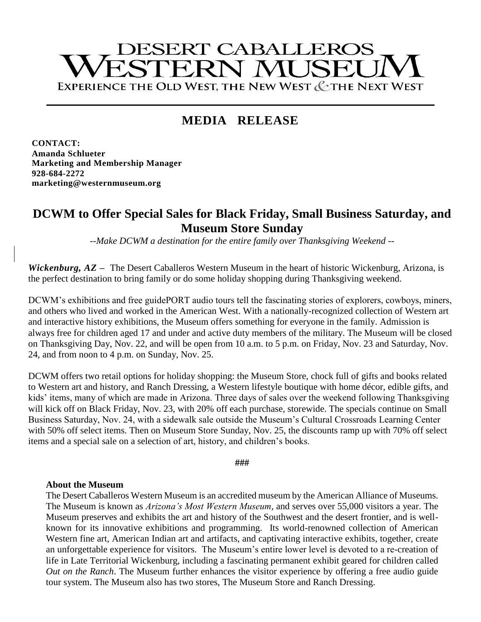# **DESERT CABALLEROS** ESTERN MUSEL EXPERIENCE THE OLD WEST, THE NEW WEST & THE NEXT WEST

## **MEDIA RELEASE**

**CONTACT: Amanda Schlueter Marketing and Membership Manager 928-684-2272 marketing@westernmuseum.org**

### **DCWM to Offer Special Sales for Black Friday, Small Business Saturday, and Museum Store Sunday**

*--Make DCWM a destination for the entire family over Thanksgiving Weekend --*

*Wickenburg, AZ* **–** The Desert Caballeros Western Museum in the heart of historic Wickenburg, Arizona, is the perfect destination to bring family or do some holiday shopping during Thanksgiving weekend.

DCWM's exhibitions and free guidePORT audio tours tell the fascinating stories of explorers, cowboys, miners, and others who lived and worked in the American West. With a nationally-recognized collection of Western art and interactive history exhibitions, the Museum offers something for everyone in the family. Admission is always free for children aged 17 and under and active duty members of the military. The Museum will be closed on Thanksgiving Day, Nov. 22, and will be open from 10 a.m. to 5 p.m. on Friday, Nov. 23 and Saturday, Nov. 24, and from noon to 4 p.m. on Sunday, Nov. 25.

DCWM offers two retail options for holiday shopping: the Museum Store, chock full of gifts and books related to Western art and history, and Ranch Dressing, a Western lifestyle boutique with home décor, edible gifts, and kids' items, many of which are made in Arizona. Three days of sales over the weekend following Thanksgiving will kick off on Black Friday, Nov. 23, with 20% off each purchase, storewide. The specials continue on Small Business Saturday, Nov. 24, with a sidewalk sale outside the Museum's Cultural Crossroads Learning Center with 50% off select items. Then on Museum Store Sunday, Nov. 25, the discounts ramp up with 70% off select items and a special sale on a selection of art, history, and children's books.

**###**

#### **About the Museum**

The Desert Caballeros Western Museum is an accredited museum by the American Alliance of Museums. The Museum is known as *Arizona's Most Western Museum*, and serves over 55,000 visitors a year. The Museum preserves and exhibits the art and history of the Southwest and the desert frontier, and is wellknown for its innovative exhibitions and programming. Its world-renowned collection of American Western fine art, American Indian art and artifacts, and captivating interactive exhibits, together, create an unforgettable experience for visitors. The Museum's entire lower level is devoted to a re-creation of life in Late Territorial Wickenburg, including a fascinating permanent exhibit geared for children called *Out on the Ranch*. The Museum further enhances the visitor experience by offering a free audio guide tour system. The Museum also has two stores, The Museum Store and Ranch Dressing.